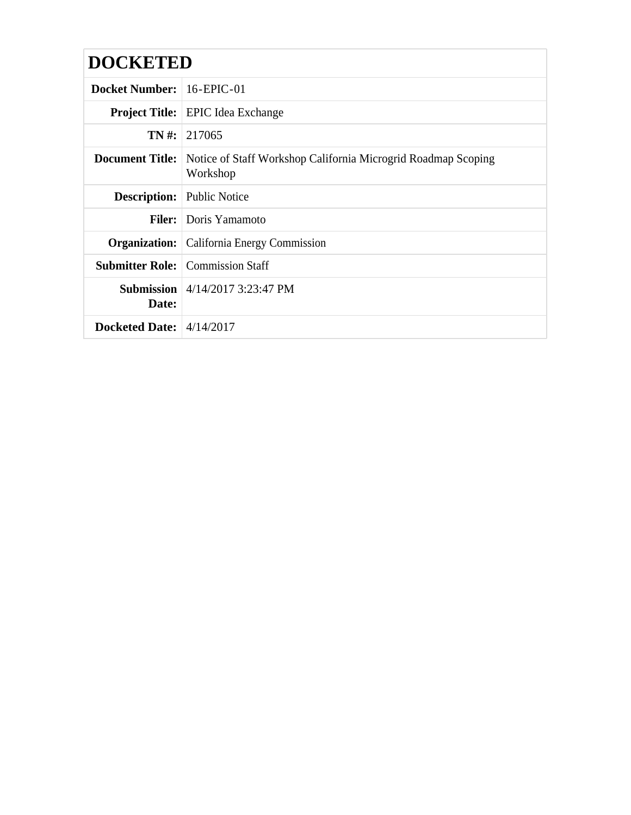# **DOCKETED**

| <b>Docket Number:</b> 16-EPIC-01   |                                                                                                  |  |
|------------------------------------|--------------------------------------------------------------------------------------------------|--|
|                                    | <b>Project Title:</b> EPIC Idea Exchange                                                         |  |
|                                    | $TN \#: 217065$                                                                                  |  |
|                                    | <b>Document Title:</b> Notice of Staff Workshop California Microgrid Roadmap Scoping<br>Workshop |  |
| <b>Description:</b> Public Notice  |                                                                                                  |  |
|                                    | <b>Filer:</b> Doris Yamamoto                                                                     |  |
|                                    | <b>Organization:</b> California Energy Commission                                                |  |
|                                    | <b>Submitter Role:</b> Commission Staff                                                          |  |
| Date:                              | <b>Submission</b> $\vert 4/14/2017$ 3:23:47 PM                                                   |  |
| Docketed Date: $\frac{4}{14/2017}$ |                                                                                                  |  |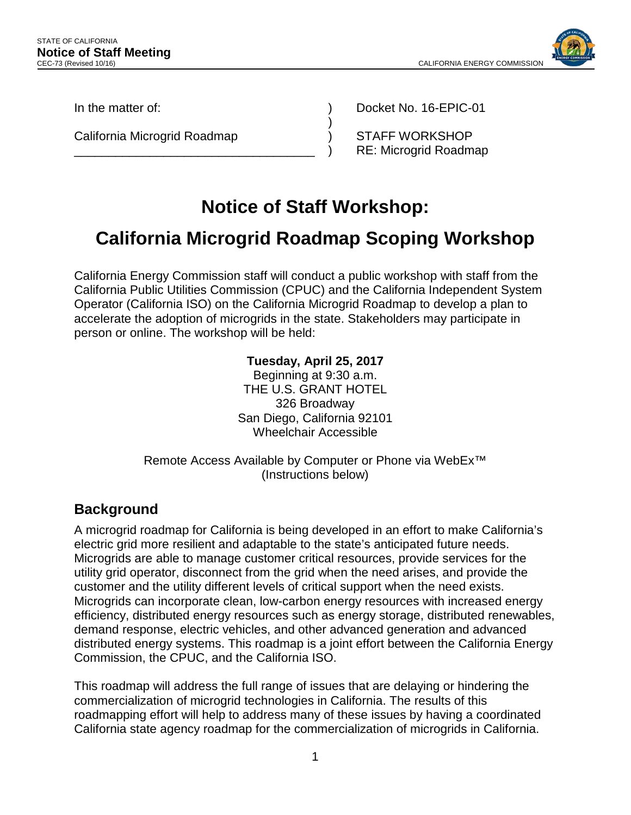

In the matter of:

California Microgrid Roadmap

\_\_\_\_\_\_\_\_\_\_\_\_\_\_\_\_\_\_\_\_\_\_\_\_\_\_\_\_\_\_\_\_\_\_\_

Docket No. 16-EPIC-01

STAFF WORKSHOP RE: Microgrid Roadmap

# **Notice of Staff Workshop:**

) ) ) )

## **California Microgrid Roadmap Scoping Workshop**

California Energy Commission staff will conduct a public workshop with staff from the California Public Utilities Commission (CPUC) and the California Independent System Operator (California ISO) on the California Microgrid Roadmap to develop a plan to accelerate the adoption of microgrids in the state. Stakeholders may participate in person or online. The workshop will be held:

### **Tuesday, April 25, 2017**

Beginning at 9:30 a.m. THE U.S. GRANT HOTEL 326 Broadway San Diego, California 92101 Wheelchair Accessible

Remote Access Available by Computer or Phone via WebEx™ (Instructions below)

## **Background**

A microgrid roadmap for California is being developed in an effort to make California's electric grid more resilient and adaptable to the state's anticipated future needs. Microgrids are able to manage customer critical resources, provide services for the utility grid operator, disconnect from the grid when the need arises, and provide the customer and the utility different levels of critical support when the need exists. Microgrids can incorporate clean, low-carbon energy resources with increased energy efficiency, distributed energy resources such as energy storage, distributed renewables, demand response, electric vehicles, and other advanced generation and advanced distributed energy systems. This roadmap is a joint effort between the California Energy Commission, the CPUC, and the California ISO.

This roadmap will address the full range of issues that are delaying or hindering the commercialization of microgrid technologies in California. The results of this roadmapping effort will help to address many of these issues by having a coordinated California state agency roadmap for the commercialization of microgrids in California.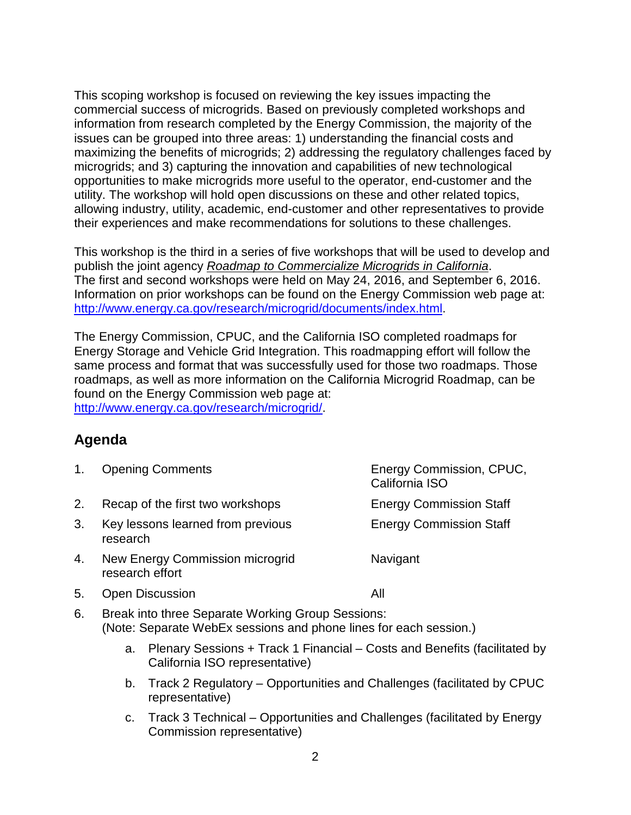This scoping workshop is focused on reviewing the key issues impacting the commercial success of microgrids. Based on previously completed workshops and information from research completed by the Energy Commission, the majority of the issues can be grouped into three areas: 1) understanding the financial costs and maximizing the benefits of microgrids; 2) addressing the regulatory challenges faced by microgrids; and 3) capturing the innovation and capabilities of new technological opportunities to make microgrids more useful to the operator, end-customer and the utility. The workshop will hold open discussions on these and other related topics, allowing industry, utility, academic, end-customer and other representatives to provide their experiences and make recommendations for solutions to these challenges.

This workshop is the third in a series of five workshops that will be used to develop and publish the joint agency *Roadmap to Commercialize Microgrids in California*. The first and second workshops were held on May 24, 2016, and September 6, 2016. Information on prior workshops can be found on the Energy Commission web page at: [http://www.energy.ca.gov/research/microgrid/documents/index.html.](http://www.energy.ca.gov/research/microgrid/documents/index.html)

The Energy Commission, CPUC, and the California ISO completed roadmaps for Energy Storage and Vehicle Grid Integration. This roadmapping effort will follow the same process and format that was successfully used for those two roadmaps. Those roadmaps, as well as more information on the California Microgrid Roadmap, can be found on the Energy Commission web page at: [http://www.energy.ca.gov/research/microgrid/.](http://www.energy.ca.gov/research/microgrid/)

## **Agenda**

| 1. | <b>Opening Comments</b>                                                                                                | Energy Commission, CPUC,<br>California ISO |
|----|------------------------------------------------------------------------------------------------------------------------|--------------------------------------------|
| 2. | Recap of the first two workshops                                                                                       | <b>Energy Commission Staff</b>             |
| 3. | Key lessons learned from previous<br>research                                                                          | <b>Energy Commission Staff</b>             |
| 4. | New Energy Commission microgrid<br>research effort                                                                     | Navigant                                   |
| 5. | <b>Open Discussion</b>                                                                                                 | All                                        |
| 6. | Break into three Separate Working Group Sessions:<br>(Note: Separate WebEx sessions and phone lines for each session.) |                                            |
|    | Plenary Sessions + Track 1 Financial – Costs and Benefits (facilitated by<br>а.<br>California ISO representative)      |                                            |

- b. Track 2 Regulatory Opportunities and Challenges (facilitated by CPUC representative)
- c. Track 3 Technical Opportunities and Challenges (facilitated by Energy Commission representative)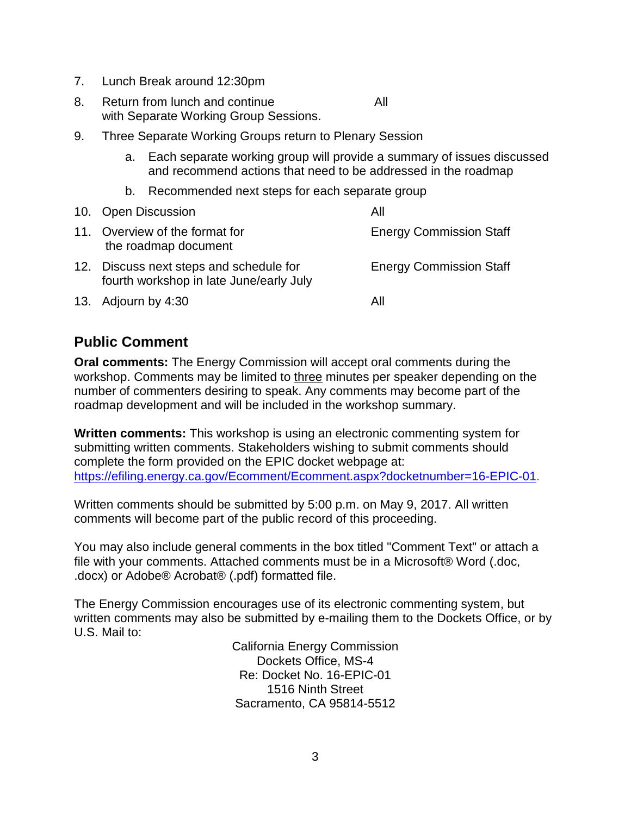- 7. Lunch Break around 12:30pm
- 8. Return from lunch and continue All with Separate Working Group Sessions.
- 9. Three Separate Working Groups return to Plenary Session
	- a. Each separate working group will provide a summary of issues discussed and recommend actions that need to be addressed in the roadmap
	- b. Recommended next steps for each separate group

|     | 10. Open Discussion                                                                | Αll                            |
|-----|------------------------------------------------------------------------------------|--------------------------------|
| 11. | Overview of the format for<br>the roadmap document                                 | <b>Energy Commission Staff</b> |
|     | 12. Discuss next steps and schedule for<br>fourth workshop in late June/early July | <b>Energy Commission Staff</b> |
|     | 13. Adjourn by 4:30                                                                | All                            |

### **Public Comment**

**Oral comments:** The Energy Commission will accept oral comments during the workshop. Comments may be limited to three minutes per speaker depending on the number of commenters desiring to speak. Any comments may become part of the roadmap development and will be included in the workshop summary.

**Written comments:** This workshop is using an electronic commenting system for submitting written comments. Stakeholders wishing to submit comments should complete the form provided on the EPIC docket webpage at: [https://efiling.energy.ca.gov/Ecomment/Ecomment.aspx?docketnumber=16-EPIC-01.](https://efiling.energy.ca.gov/Ecomment/Ecomment.aspx?docketnumber=16-EPIC-01)

Written comments should be submitted by 5:00 p.m. on May 9, 2017. All written comments will become part of the public record of this proceeding.

You may also include general comments in the box titled "Comment Text" or attach a file with your comments. Attached comments must be in a Microsoft® Word (.doc, .docx) or Adobe® Acrobat® (.pdf) formatted file.

The Energy Commission encourages use of its electronic commenting system, but written comments may also be submitted by e-mailing them to the Dockets Office, or by U.S. Mail to:

> California Energy Commission Dockets Office, MS-4 Re: Docket No. 16-EPIC-01 1516 Ninth Street Sacramento, CA 95814-5512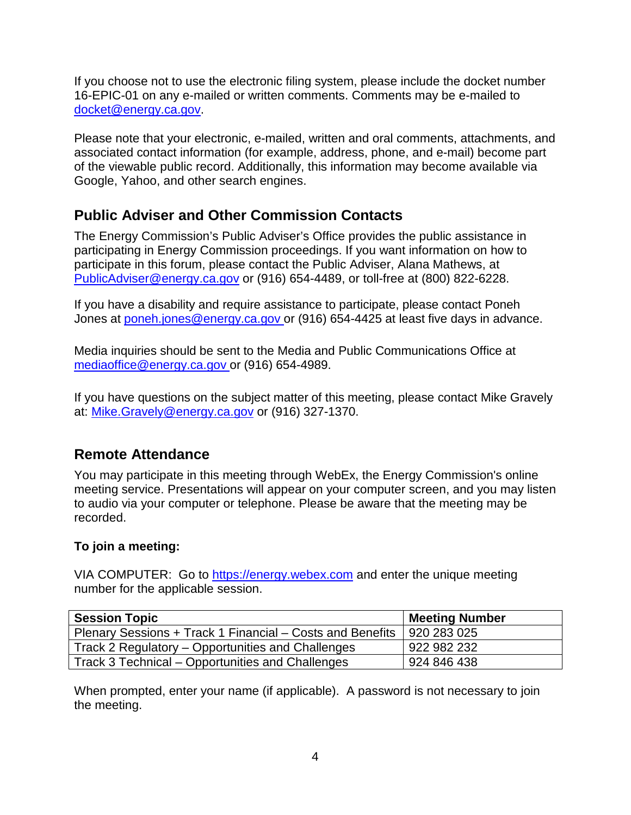If you choose not to use the electronic filing system, please include the docket number 16-EPIC-01 on any e-mailed or written comments. Comments may be e-mailed to [docket@energy.ca.gov.](mailto:docket@energy.ca.gov)

Please note that your electronic, e-mailed, written and oral comments, attachments, and associated contact information (for example, address, phone, and e-mail) become part of the viewable public record. Additionally, this information may become available via Google, Yahoo, and other search engines.

## **Public Adviser and Other Commission Contacts**

The Energy Commission's Public Adviser's Office provides the public assistance in participating in Energy Commission proceedings. If you want information on how to participate in this forum, please contact the Public Adviser, Alana Mathews, at [PublicAdviser@energy.ca.gov](mailto:PublicAdviser@energy.ca.gov) or (916) 654-4489, or toll-free at (800) 822-6228.

If you have a disability and require assistance to participate, please contact Poneh Jones at [poneh.jones@energy.ca.gov](mailto:poneh.jones@energy.ca.gov) or (916) 654-4425 at least five days in advance.

Media inquiries should be sent to the Media and Public Communications Office at [mediaoffice@energy.ca.gov](mailto:mediaoffice@energy.ca.gov) or (916) 654-4989.

If you have questions on the subject matter of this meeting, please contact Mike Gravely at: [Mike.Gravely@energy.ca.gov](mailto:Mike.Gravely@energy.ca.gov) or (916) 327-1370.

## **Remote Attendance**

You may participate in this meeting through WebEx, the Energy Commission's online meeting service. Presentations will appear on your computer screen, and you may listen to audio via your computer or telephone. Please be aware that the meeting may be recorded.

#### **To join a meeting:**

VIA COMPUTER: Go to [https://energy.webex.com](https://energy.webex.com/) and enter the unique meeting number for the applicable session.

| <b>Session Topic</b>                                      | <b>Meeting Number</b> |
|-----------------------------------------------------------|-----------------------|
| Plenary Sessions + Track 1 Financial – Costs and Benefits | 920 283 025           |
| Track 2 Regulatory – Opportunities and Challenges         | 922 982 232           |
| Track 3 Technical – Opportunities and Challenges          | 924 846 438           |

When prompted, enter your name (if applicable). A password is not necessary to join the meeting.